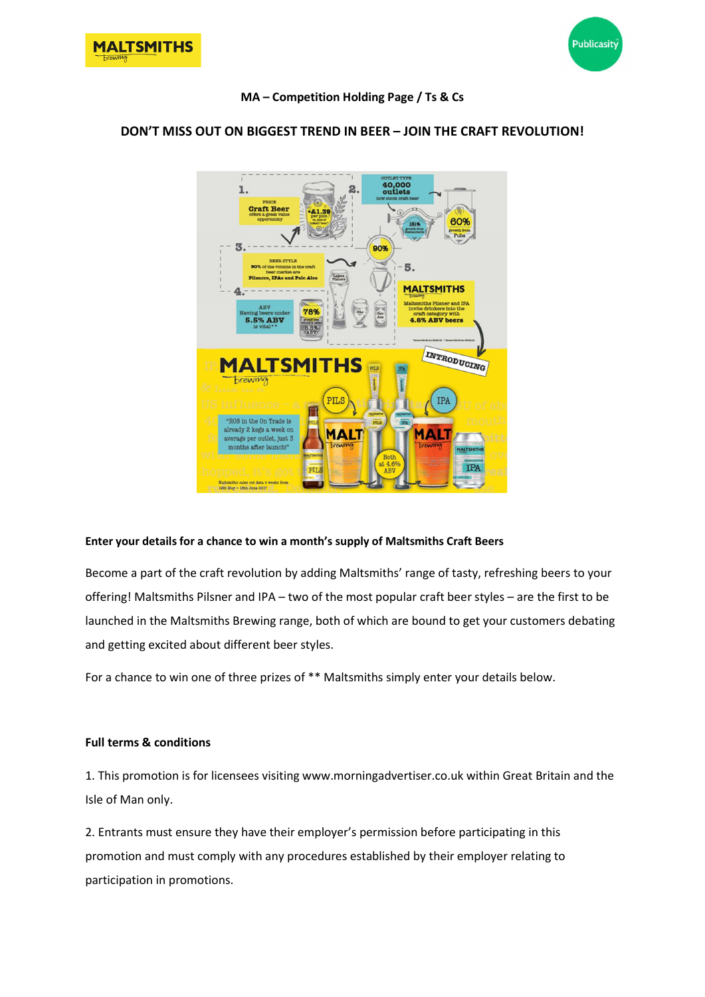



## MA – Competition Holding Page / Ts & Cs



# DON'T MISS OUT ON BIGGEST TREND IN BEER – JOIN THE CRAFT REVOLUTION!

## Enter your details for a chance to win a month's supply of Maltsmiths Craft Beers

Become a part of the craft revolution by adding Maltsmiths' range of tasty, refreshing beers to your offering! Maltsmiths Pilsner and IPA – two of the most popular craft beer styles – are the first to be launched in the Maltsmiths Brewing range, both of which are bound to get your customers debating and getting excited about different beer styles.

For a chance to win one of three prizes of \*\* Maltsmiths simply enter your details below.

#### Full terms & conditions

1. This promotion is for licensees visiting www.morningadvertiser.co.uk within Great Britain and the Isle of Man only.

2. Entrants must ensure they have their employer's permission before participating in this promotion and must comply with any procedures established by their employer relating to participation in promotions.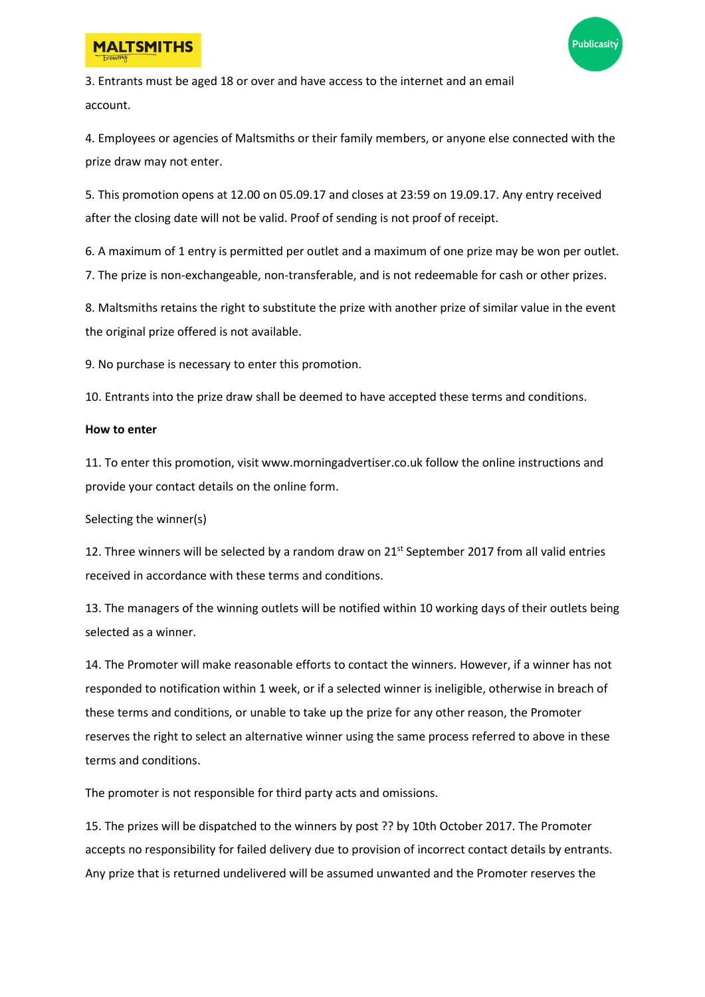



3. Entrants must be aged 18 or over and have access to the internet and an email account.

4. Employees or agencies of Maltsmiths or their family members, or anyone else connected with the prize draw may not enter.

5. This promotion opens at 12.00 on 05.09.17 and closes at 23:59 on 19.09.17. Any entry received after the closing date will not be valid. Proof of sending is not proof of receipt.

6. A maximum of 1 entry is permitted per outlet and a maximum of one prize may be won per outlet. 7. The prize is non-exchangeable, non-transferable, and is not redeemable for cash or other prizes.

8. Maltsmiths retains the right to substitute the prize with another prize of similar value in the event the original prize offered is not available.

9. No purchase is necessary to enter this promotion.

10. Entrants into the prize draw shall be deemed to have accepted these terms and conditions.

### How to enter

11. To enter this promotion, visit www.morningadvertiser.co.uk follow the online instructions and provide your contact details on the online form.

Selecting the winner(s)

12. Three winners will be selected by a random draw on 21<sup>st</sup> September 2017 from all valid entries received in accordance with these terms and conditions.

13. The managers of the winning outlets will be notified within 10 working days of their outlets being selected as a winner.

14. The Promoter will make reasonable efforts to contact the winners. However, if a winner has not responded to notification within 1 week, or if a selected winner is ineligible, otherwise in breach of these terms and conditions, or unable to take up the prize for any other reason, the Promoter reserves the right to select an alternative winner using the same process referred to above in these terms and conditions.

The promoter is not responsible for third party acts and omissions.

15. The prizes will be dispatched to the winners by post ?? by 10th October 2017. The Promoter accepts no responsibility for failed delivery due to provision of incorrect contact details by entrants. Any prize that is returned undelivered will be assumed unwanted and the Promoter reserves the